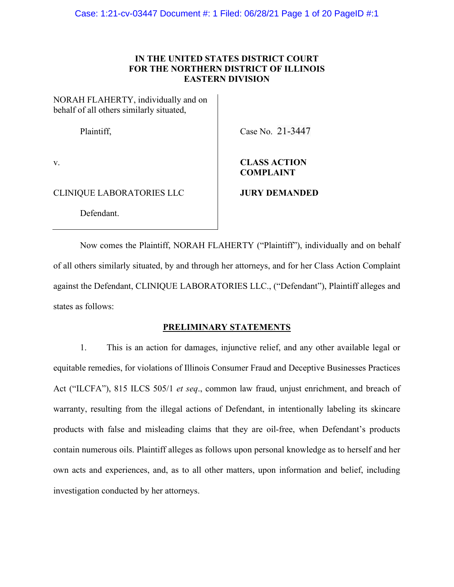# **IN THE UNITED STATES DISTRICT COURT FOR THE NORTHERN DISTRICT OF ILLINOIS EASTERN DIVISION**

NORAH FLAHERTY, individually and on behalf of all others similarly situated,

Plaintiff, Case No. 21-3447

v. **CLASS ACTION** 

# CLINIQUE LABORATORIES LLC **JURY DEMANDED**

# Defendant.

# **COMPLAINT**

Now comes the Plaintiff, NORAH FLAHERTY ("Plaintiff"), individually and on behalf of all others similarly situated, by and through her attorneys, and for her Class Action Complaint against the Defendant, CLINIQUE LABORATORIES LLC., ("Defendant"), Plaintiff alleges and states as follows:

# **PRELIMINARY STATEMENTS**

1. This is an action for damages, injunctive relief, and any other available legal or equitable remedies, for violations of Illinois Consumer Fraud and Deceptive Businesses Practices Act ("ILCFA"), 815 ILCS 505/1 *et seq*., common law fraud, unjust enrichment, and breach of warranty, resulting from the illegal actions of Defendant, in intentionally labeling its skincare products with false and misleading claims that they are oil-free, when Defendant's products contain numerous oils. Plaintiff alleges as follows upon personal knowledge as to herself and her own acts and experiences, and, as to all other matters, upon information and belief, including investigation conducted by her attorneys.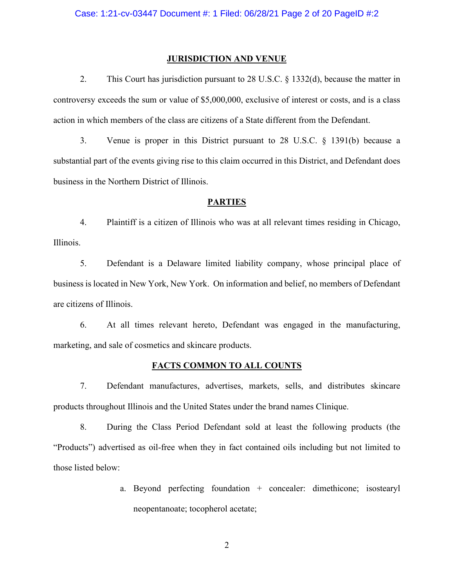# **JURISDICTION AND VENUE**

2. This Court has jurisdiction pursuant to 28 U.S.C. § 1332(d), because the matter in controversy exceeds the sum or value of \$5,000,000, exclusive of interest or costs, and is a class action in which members of the class are citizens of a State different from the Defendant.

3. Venue is proper in this District pursuant to 28 U.S.C. § 1391(b) because a substantial part of the events giving rise to this claim occurred in this District, and Defendant does business in the Northern District of Illinois.

#### **PARTIES**

4. Plaintiff is a citizen of Illinois who was at all relevant times residing in Chicago, Illinois.

5. Defendant is a Delaware limited liability company, whose principal place of business is located in New York, New York. On information and belief, no members of Defendant are citizens of Illinois.

6. At all times relevant hereto, Defendant was engaged in the manufacturing, marketing, and sale of cosmetics and skincare products.

#### **FACTS COMMON TO ALL COUNTS**

7. Defendant manufactures, advertises, markets, sells, and distributes skincare products throughout Illinois and the United States under the brand names Clinique.

8. During the Class Period Defendant sold at least the following products (the "Products") advertised as oil-free when they in fact contained oils including but not limited to those listed below:

> a. Beyond perfecting foundation + concealer: dimethicone; isostearyl neopentanoate; tocopherol acetate;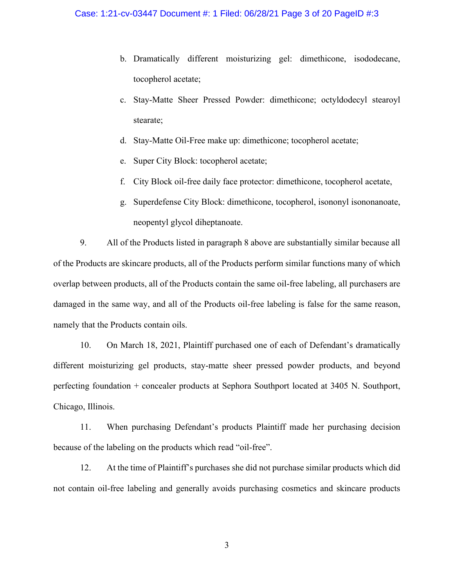- b. Dramatically different moisturizing gel: dimethicone, isododecane, tocopherol acetate;
- c. Stay-Matte Sheer Pressed Powder: dimethicone; octyldodecyl stearoyl stearate;
- d. Stay-Matte Oil-Free make up: dimethicone; tocopherol acetate;
- e. Super City Block: tocopherol acetate;
- f. City Block oil-free daily face protector: dimethicone, tocopherol acetate,
- g. Superdefense City Block: dimethicone, tocopherol, isononyl isononanoate, neopentyl glycol diheptanoate.

9. All of the Products listed in paragraph 8 above are substantially similar because all of the Products are skincare products, all of the Products perform similar functions many of which overlap between products, all of the Products contain the same oil-free labeling, all purchasers are damaged in the same way, and all of the Products oil-free labeling is false for the same reason, namely that the Products contain oils.

10. On March 18, 2021, Plaintiff purchased one of each of Defendant's dramatically different moisturizing gel products, stay-matte sheer pressed powder products, and beyond perfecting foundation + concealer products at Sephora Southport located at 3405 N. Southport, Chicago, Illinois.

11. When purchasing Defendant's products Plaintiff made her purchasing decision because of the labeling on the products which read "oil-free".

12. At the time of Plaintiff's purchases she did not purchase similar products which did not contain oil-free labeling and generally avoids purchasing cosmetics and skincare products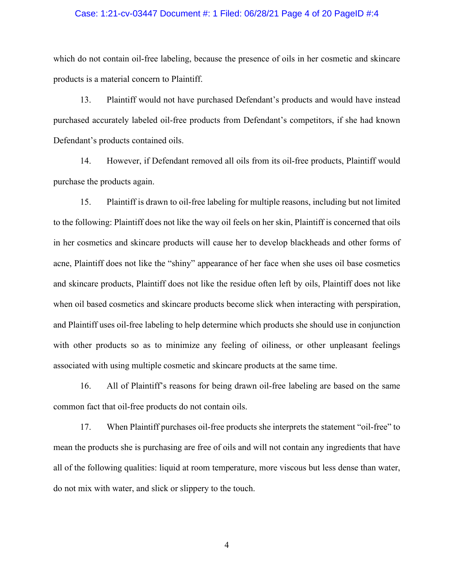#### Case: 1:21-cv-03447 Document #: 1 Filed: 06/28/21 Page 4 of 20 PageID #:4

which do not contain oil-free labeling, because the presence of oils in her cosmetic and skincare products is a material concern to Plaintiff.

13. Plaintiff would not have purchased Defendant's products and would have instead purchased accurately labeled oil-free products from Defendant's competitors, if she had known Defendant's products contained oils.

14. However, if Defendant removed all oils from its oil-free products, Plaintiff would purchase the products again.

15. Plaintiff is drawn to oil-free labeling for multiple reasons, including but not limited to the following: Plaintiff does not like the way oil feels on her skin, Plaintiff is concerned that oils in her cosmetics and skincare products will cause her to develop blackheads and other forms of acne, Plaintiff does not like the "shiny" appearance of her face when she uses oil base cosmetics and skincare products, Plaintiff does not like the residue often left by oils, Plaintiff does not like when oil based cosmetics and skincare products become slick when interacting with perspiration, and Plaintiff uses oil-free labeling to help determine which products she should use in conjunction with other products so as to minimize any feeling of oiliness, or other unpleasant feelings associated with using multiple cosmetic and skincare products at the same time.

16. All of Plaintiff's reasons for being drawn oil-free labeling are based on the same common fact that oil-free products do not contain oils.

17. When Plaintiff purchases oil-free products she interprets the statement "oil-free" to mean the products she is purchasing are free of oils and will not contain any ingredients that have all of the following qualities: liquid at room temperature, more viscous but less dense than water, do not mix with water, and slick or slippery to the touch.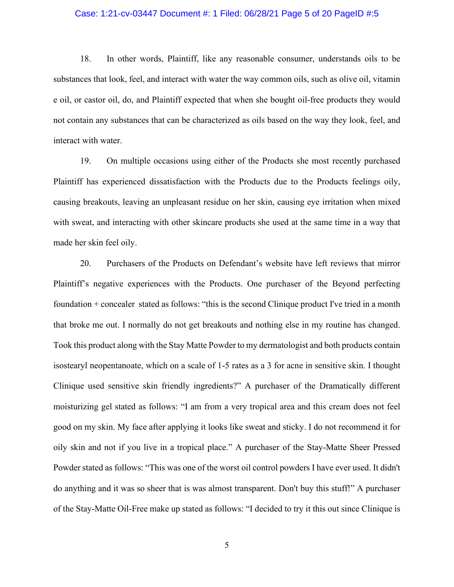#### Case: 1:21-cv-03447 Document #: 1 Filed: 06/28/21 Page 5 of 20 PageID #:5

18. In other words, Plaintiff, like any reasonable consumer, understands oils to be substances that look, feel, and interact with water the way common oils, such as olive oil, vitamin e oil, or castor oil, do, and Plaintiff expected that when she bought oil-free products they would not contain any substances that can be characterized as oils based on the way they look, feel, and interact with water.

19. On multiple occasions using either of the Products she most recently purchased Plaintiff has experienced dissatisfaction with the Products due to the Products feelings oily, causing breakouts, leaving an unpleasant residue on her skin, causing eye irritation when mixed with sweat, and interacting with other skincare products she used at the same time in a way that made her skin feel oily.

20. Purchasers of the Products on Defendant's website have left reviews that mirror Plaintiff's negative experiences with the Products. One purchaser of the Beyond perfecting foundation + concealer stated as follows: "this is the second Clinique product I've tried in a month that broke me out. I normally do not get breakouts and nothing else in my routine has changed. Took this product along with the Stay Matte Powder to my dermatologist and both products contain isostearyl neopentanoate, which on a scale of 1-5 rates as a 3 for acne in sensitive skin. I thought Clinique used sensitive skin friendly ingredients?" A purchaser of the Dramatically different moisturizing gel stated as follows: "I am from a very tropical area and this cream does not feel good on my skin. My face after applying it looks like sweat and sticky. I do not recommend it for oily skin and not if you live in a tropical place." A purchaser of the Stay-Matte Sheer Pressed Powder stated as follows: "This was one of the worst oil control powders I have ever used. It didn't do anything and it was so sheer that is was almost transparent. Don't buy this stuff!" A purchaser of the Stay-Matte Oil-Free make up stated as follows: "I decided to try it this out since Clinique is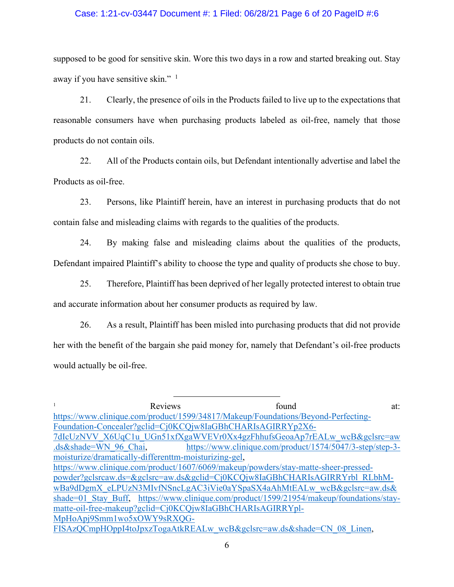### Case: 1:21-cv-03447 Document #: 1 Filed: 06/28/21 Page 6 of 20 PageID #:6

supposed to be good for sensitive skin. Wore this two days in a row and started breaking out. Stay away if you have sensitive skin."  $<sup>1</sup>$  $<sup>1</sup>$  $<sup>1</sup>$ </sup>

21. Clearly, the presence of oils in the Products failed to live up to the expectations that reasonable consumers have when purchasing products labeled as oil-free, namely that those products do not contain oils.

22. All of the Products contain oils, but Defendant intentionally advertise and label the Products as oil-free.

23. Persons, like Plaintiff herein, have an interest in purchasing products that do not contain false and misleading claims with regards to the qualities of the products.

24. By making false and misleading claims about the qualities of the products, Defendant impaired Plaintiff's ability to choose the type and quality of products she chose to buy.

25. Therefore, Plaintiff has been deprived of her legally protected interest to obtain true and accurate information about her consumer products as required by law.

26. As a result, Plaintiff has been misled into purchasing products that did not provide her with the benefit of the bargain she paid money for, namely that Defendant's oil-free products would actually be oil-free.

<span id="page-5-0"></span>1 Reviews Reviews found at: [https://www.clinique.com/product/1599/34817/Makeup/Foundations/Beyond-Perfecting-](https://www.clinique.com/product/1599/34817/Makeup/Foundations/Beyond-Perfecting-Foundation-Concealer?gclid=Cj0KCQjw8IaGBhCHARIsAGIRRYp2X6-7dIcUzNVV_X6UqC1u_UGn51xfXgaWVEVr0Xx4gzFhhufsGeoaAp7rEALw_wcB&gclsrc=aw.ds&shade=WN_96_Chai)[Foundation-Concealer?gclid=Cj0KCQjw8IaGBhCHARIsAGIRRYp2X6-](https://www.clinique.com/product/1599/34817/Makeup/Foundations/Beyond-Perfecting-Foundation-Concealer?gclid=Cj0KCQjw8IaGBhCHARIsAGIRRYp2X6-7dIcUzNVV_X6UqC1u_UGn51xfXgaWVEVr0Xx4gzFhhufsGeoaAp7rEALw_wcB&gclsrc=aw.ds&shade=WN_96_Chai) [7dIcUzNVV\\_X6UqC1u\\_UGn51xfXgaWVEVr0Xx4gzFhhufsGeoaAp7rEALw\\_wcB&gclsrc=aw](https://www.clinique.com/product/1599/34817/Makeup/Foundations/Beyond-Perfecting-Foundation-Concealer?gclid=Cj0KCQjw8IaGBhCHARIsAGIRRYp2X6-7dIcUzNVV_X6UqC1u_UGn51xfXgaWVEVr0Xx4gzFhhufsGeoaAp7rEALw_wcB&gclsrc=aw.ds&shade=WN_96_Chai) [.ds&shade=WN\\_96\\_Chai,](https://www.clinique.com/product/1599/34817/Makeup/Foundations/Beyond-Perfecting-Foundation-Concealer?gclid=Cj0KCQjw8IaGBhCHARIsAGIRRYp2X6-7dIcUzNVV_X6UqC1u_UGn51xfXgaWVEVr0Xx4gzFhhufsGeoaAp7rEALw_wcB&gclsrc=aw.ds&shade=WN_96_Chai) [https://www.clinique.com/product/1574/5047/3-step/step-3](https://www.clinique.com/product/1574/5047/3-step/step-3-moisturize/dramatically-differenttm-moisturizing-gel) [moisturize/dramatically-differenttm-moisturizing-gel,](https://www.clinique.com/product/1574/5047/3-step/step-3-moisturize/dramatically-differenttm-moisturizing-gel) [https://www.clinique.com/product/1607/6069/makeup/powders/stay-matte-sheer-pressed](https://www.clinique.com/product/1607/6069/makeup/powders/stay-matte-sheer-pressed-powder?gclsrcaw.ds=&gclsrc=aw.ds&gclid=Cj0KCQjw8IaGBhCHARIsAGIRRYrbl_RLbhM-wBa9dDgmX_eLPUzN3MIvfNSncLgAC3iVie0aYSpaSX4aAhMtEALw_wcB&gclsrc=aw.ds&shade=01_Stay_Buff)[powder?gclsrcaw.ds=&gclsrc=aw.ds&gclid=Cj0KCQjw8IaGBhCHARIsAGIRRYrbl\\_RLbhM](https://www.clinique.com/product/1607/6069/makeup/powders/stay-matte-sheer-pressed-powder?gclsrcaw.ds=&gclsrc=aw.ds&gclid=Cj0KCQjw8IaGBhCHARIsAGIRRYrbl_RLbhM-wBa9dDgmX_eLPUzN3MIvfNSncLgAC3iVie0aYSpaSX4aAhMtEALw_wcB&gclsrc=aw.ds&shade=01_Stay_Buff)[wBa9dDgmX\\_eLPUzN3MIvfNSncLgAC3iVie0aYSpaSX4aAhMtEALw\\_wcB&gclsrc=aw.ds&](https://www.clinique.com/product/1607/6069/makeup/powders/stay-matte-sheer-pressed-powder?gclsrcaw.ds=&gclsrc=aw.ds&gclid=Cj0KCQjw8IaGBhCHARIsAGIRRYrbl_RLbhM-wBa9dDgmX_eLPUzN3MIvfNSncLgAC3iVie0aYSpaSX4aAhMtEALw_wcB&gclsrc=aw.ds&shade=01_Stay_Buff) [shade=01\\_Stay\\_Buff,](https://www.clinique.com/product/1607/6069/makeup/powders/stay-matte-sheer-pressed-powder?gclsrcaw.ds=&gclsrc=aw.ds&gclid=Cj0KCQjw8IaGBhCHARIsAGIRRYrbl_RLbhM-wBa9dDgmX_eLPUzN3MIvfNSncLgAC3iVie0aYSpaSX4aAhMtEALw_wcB&gclsrc=aw.ds&shade=01_Stay_Buff) [https://www.clinique.com/product/1599/21954/makeup/foundations/stay](https://www.clinique.com/product/1599/21954/makeup/foundations/stay-matte-oil-free-makeup?gclid=Cj0KCQjw8IaGBhCHARIsAGIRRYpl-MpHoApj9Smm1wo5xOWY9sRXQG-FISAzQCmpHOppI4toJpxzTogaAtkREALw_wcB&gclsrc=aw.ds&shade=CN_08_Linen)[matte-oil-free-makeup?gclid=Cj0KCQjw8IaGBhCHARIsAGIRRYpl-](https://www.clinique.com/product/1599/21954/makeup/foundations/stay-matte-oil-free-makeup?gclid=Cj0KCQjw8IaGBhCHARIsAGIRRYpl-MpHoApj9Smm1wo5xOWY9sRXQG-FISAzQCmpHOppI4toJpxzTogaAtkREALw_wcB&gclsrc=aw.ds&shade=CN_08_Linen)[MpHoApj9Smm1wo5xOWY9sRXQG-](https://www.clinique.com/product/1599/21954/makeup/foundations/stay-matte-oil-free-makeup?gclid=Cj0KCQjw8IaGBhCHARIsAGIRRYpl-MpHoApj9Smm1wo5xOWY9sRXQG-FISAzQCmpHOppI4toJpxzTogaAtkREALw_wcB&gclsrc=aw.ds&shade=CN_08_Linen)[FISAzQCmpHOppI4toJpxzTogaAtkREALw\\_wcB&gclsrc=aw.ds&shade=CN\\_08\\_Linen,](https://www.clinique.com/product/1599/21954/makeup/foundations/stay-matte-oil-free-makeup?gclid=Cj0KCQjw8IaGBhCHARIsAGIRRYpl-MpHoApj9Smm1wo5xOWY9sRXQG-FISAzQCmpHOppI4toJpxzTogaAtkREALw_wcB&gclsrc=aw.ds&shade=CN_08_Linen)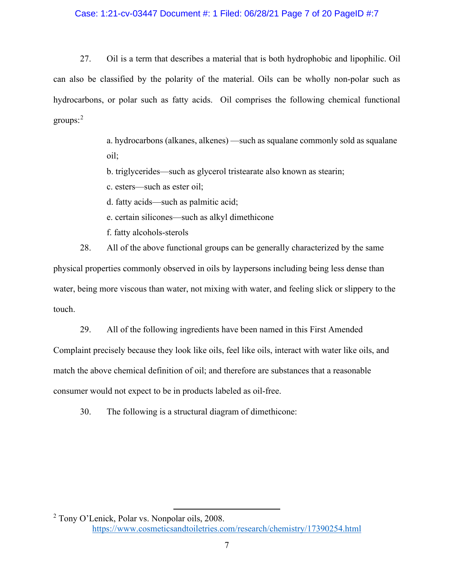# Case: 1:21-cv-03447 Document #: 1 Filed: 06/28/21 Page 7 of 20 PageID #:7

27. Oil is a term that describes a material that is both hydrophobic and lipophilic. Oil can also be classified by the polarity of the material. Oils can be wholly non-polar such as hydrocarbons, or polar such as fatty acids. Oil comprises the following chemical functional groups:[2](#page-6-0)

> a. hydrocarbons (alkanes, alkenes) —such as squalane commonly sold as squalane oil;

b. triglycerides—such as glycerol tristearate also known as stearin;

c. esters—such as ester oil;

d. fatty acids—such as palmitic acid;

e. certain silicones—such as alkyl dimethicone

f. fatty alcohols-sterols

28. All of the above functional groups can be generally characterized by the same physical properties commonly observed in oils by laypersons including being less dense than water, being more viscous than water, not mixing with water, and feeling slick or slippery to the touch.

29. All of the following ingredients have been named in this First Amended

Complaint precisely because they look like oils, feel like oils, interact with water like oils, and match the above chemical definition of oil; and therefore are substances that a reasonable consumer would not expect to be in products labeled as oil-free.

30. The following is a structural diagram of dimethicone:

<span id="page-6-0"></span><sup>2</sup> Tony O'Lenick, Polar vs. Nonpolar oils, 2008. <https://www.cosmeticsandtoiletries.com/research/chemistry/17390254.html>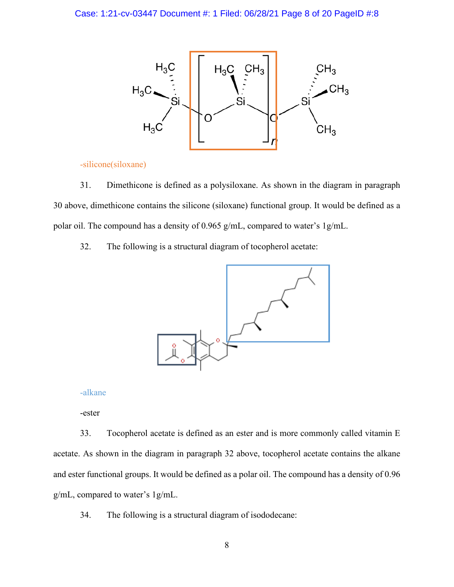

-silicone(siloxane)

31. Dimethicone is defined as a polysiloxane. As shown in the diagram in paragraph 30 above, dimethicone contains the silicone (siloxane) functional group. It would be defined as a polar oil. The compound has a density of 0.965 g/mL, compared to water's 1g/mL.

32. The following is a structural diagram of tocopherol acetate:



# -alkane

-ester

33. Tocopherol acetate is defined as an ester and is more commonly called vitamin E acetate. As shown in the diagram in paragraph 32 above, tocopherol acetate contains the alkane and ester functional groups. It would be defined as a polar oil. The compound has a density of 0.96 g/mL, compared to water's 1g/mL.

34. The following is a structural diagram of isododecane: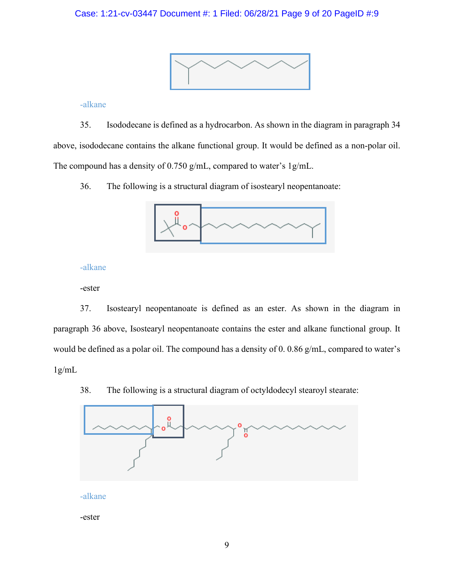# Case: 1:21-cv-03447 Document #: 1 Filed: 06/28/21 Page 9 of 20 PageID #:9



# -alkane

35. Isododecane is defined as a hydrocarbon. As shown in the diagram in paragraph 34 above, isododecane contains the alkane functional group. It would be defined as a non-polar oil. The compound has a density of 0.750 g/mL, compared to water's 1g/mL.

36. The following is a structural diagram of isostearyl neopentanoate:



#### -alkane

#### -ester

37. Isostearyl neopentanoate is defined as an ester. As shown in the diagram in paragraph 36 above, Isostearyl neopentanoate contains the ester and alkane functional group. It would be defined as a polar oil. The compound has a density of 0. 0.86 g/mL, compared to water's 1g/mL

38. The following is a structural diagram of octyldodecyl stearoyl stearate:



-alkane

-ester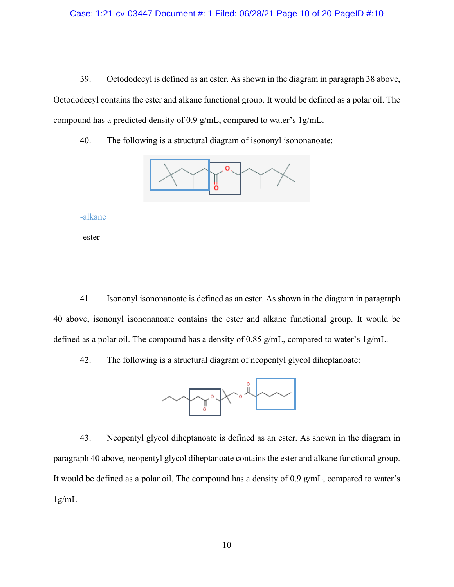### Case: 1:21-cv-03447 Document #: 1 Filed: 06/28/21 Page 10 of 20 PageID #:10

39. Octododecyl is defined as an ester. As shown in the diagram in paragraph 38 above, Octododecyl contains the ester and alkane functional group. It would be defined as a polar oil. The compound has a predicted density of 0.9 g/mL, compared to water's 1g/mL.

40. The following is a structural diagram of isononyl isononanoate:



-alkane

-ester

41. Isononyl isononanoate is defined as an ester. As shown in the diagram in paragraph 40 above, isononyl isononanoate contains the ester and alkane functional group. It would be defined as a polar oil. The compound has a density of 0.85 g/mL, compared to water's 1g/mL.

42. The following is a structural diagram of neopentyl glycol diheptanoate:



43. Neopentyl glycol diheptanoate is defined as an ester. As shown in the diagram in paragraph 40 above, neopentyl glycol diheptanoate contains the ester and alkane functional group. It would be defined as a polar oil. The compound has a density of  $0.9 \text{ g/mL}$ , compared to water's  $1g/mL$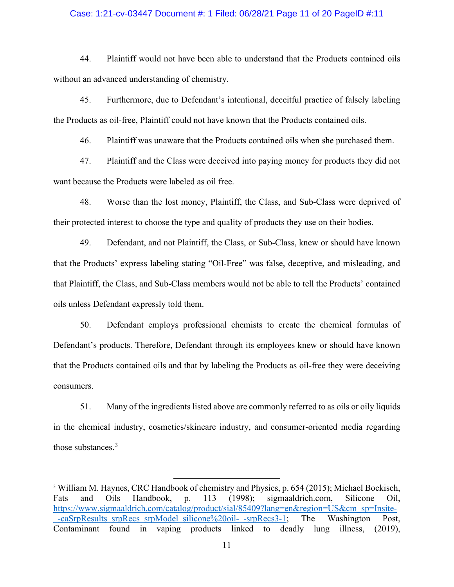### Case: 1:21-cv-03447 Document #: 1 Filed: 06/28/21 Page 11 of 20 PageID #:11

44. Plaintiff would not have been able to understand that the Products contained oils without an advanced understanding of chemistry.

45. Furthermore, due to Defendant's intentional, deceitful practice of falsely labeling the Products as oil-free, Plaintiff could not have known that the Products contained oils.

46. Plaintiff was unaware that the Products contained oils when she purchased them.

47. Plaintiff and the Class were deceived into paying money for products they did not want because the Products were labeled as oil free.

48. Worse than the lost money, Plaintiff, the Class, and Sub-Class were deprived of their protected interest to choose the type and quality of products they use on their bodies.

49. Defendant, and not Plaintiff, the Class, or Sub-Class, knew or should have known that the Products' express labeling stating "Oil-Free" was false, deceptive, and misleading, and that Plaintiff, the Class, and Sub-Class members would not be able to tell the Products' contained oils unless Defendant expressly told them.

50. Defendant employs professional chemists to create the chemical formulas of Defendant's products. Therefore, Defendant through its employees knew or should have known that the Products contained oils and that by labeling the Products as oil-free they were deceiving consumers.

51. Many of the ingredients listed above are commonly referred to as oils or oily liquids in the chemical industry, cosmetics/skincare industry, and consumer-oriented media regarding those substances.[3](#page-10-0)

<span id="page-10-0"></span><sup>&</sup>lt;sup>3</sup> William M. Haynes, CRC Handbook of chemistry and Physics, p. 654 (2015); Michael Bockisch, Fats and Oils Handbook, p. 113 (1998); sigmaaldrich.com, Silicone Oil, [https://www.sigmaaldrich.com/catalog/product/sial/85409?lang=en&region=US&cm\\_sp=Insite-](https://www.sigmaaldrich.com/catalog/product/sial/85409?lang=en®ion=US&cm_sp=Insite-_-caSrpResults_srpRecs_srpModel_silicone%20oil-_-srpRecs3-1) -caSrpResults srpRecs srpModel silicone%20oil- -srpRecs3-1; The Washington Post, Contaminant found in vaping products linked to deadly lung illness, (2019),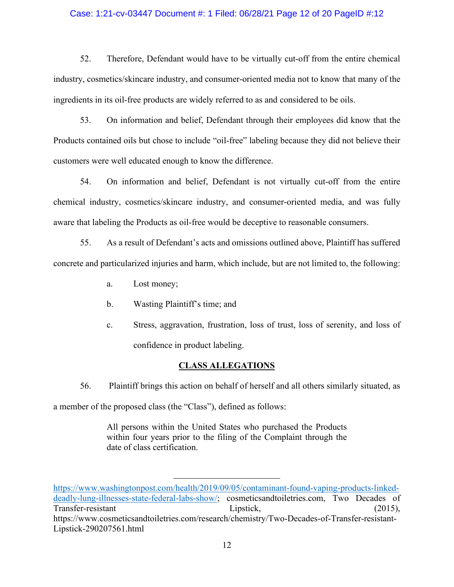#### Case: 1:21-cv-03447 Document #: 1 Filed: 06/28/21 Page 12 of 20 PageID #:12

52. Therefore, Defendant would have to be virtually cut-off from the entire chemical industry, cosmetics/skincare industry, and consumer-oriented media not to know that many of the ingredients in its oil-free products are widely referred to as and considered to be oils.

53. On information and belief, Defendant through their employees did know that the Products contained oils but chose to include "oil-free" labeling because they did not believe their customers were well educated enough to know the difference.

54. On information and belief, Defendant is not virtually cut-off from the entire chemical industry, cosmetics/skincare industry, and consumer-oriented media, and was fully aware that labeling the Products as oil-free would be deceptive to reasonable consumers.

55. As a result of Defendant's acts and omissions outlined above, Plaintiff has suffered concrete and particularized injuries and harm, which include, but are not limited to, the following:

- a. Lost money;
- b. Wasting Plaintiff's time; and
- c. Stress, aggravation, frustration, loss of trust, loss of serenity, and loss of confidence in product labeling.

#### **CLASS ALLEGATIONS**

56. Plaintiff brings this action on behalf of herself and all others similarly situated, as

a member of the proposed class (the "Class"), defined as follows:

All persons within the United States who purchased the Products within four years prior to the filing of the Complaint through the date of class certification.

[https://www.washingtonpost.com/health/2019/09/05/contaminant-found-vaping-products-linked](https://www.washingtonpost.com/health/2019/09/05/contaminant-found-vaping-products-linked-deadly-lung-illnesses-state-federal-labs-show/)[deadly-lung-illnesses-state-federal-labs-show/;](https://www.washingtonpost.com/health/2019/09/05/contaminant-found-vaping-products-linked-deadly-lung-illnesses-state-federal-labs-show/) cosmeticsandtoiletries.com, Two Decades of Transfer-resistant Lipstick, Lipstick, (2015), https://www.cosmeticsandtoiletries.com/research/chemistry/Two-Decades-of-Transfer-resistant-Lipstick-290207561.html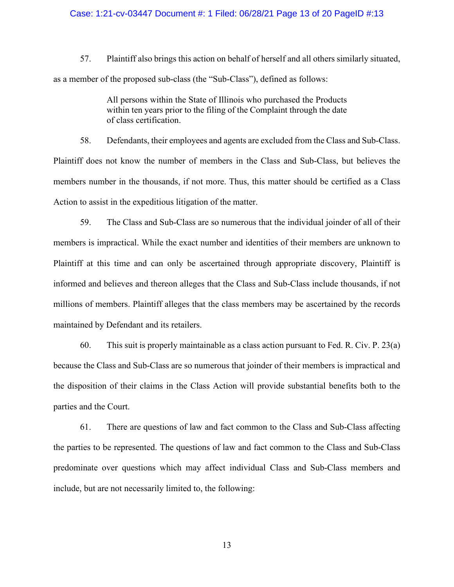#### Case: 1:21-cv-03447 Document #: 1 Filed: 06/28/21 Page 13 of 20 PageID #:13

57. Plaintiff also brings this action on behalf of herself and all others similarly situated, as a member of the proposed sub-class (the "Sub-Class"), defined as follows:

> All persons within the State of Illinois who purchased the Products within ten years prior to the filing of the Complaint through the date of class certification.

58. Defendants, their employees and agents are excluded from the Class and Sub-Class. Plaintiff does not know the number of members in the Class and Sub-Class, but believes the members number in the thousands, if not more. Thus, this matter should be certified as a Class Action to assist in the expeditious litigation of the matter.

59. The Class and Sub-Class are so numerous that the individual joinder of all of their members is impractical. While the exact number and identities of their members are unknown to Plaintiff at this time and can only be ascertained through appropriate discovery, Plaintiff is informed and believes and thereon alleges that the Class and Sub-Class include thousands, if not millions of members. Plaintiff alleges that the class members may be ascertained by the records maintained by Defendant and its retailers.

60. This suit is properly maintainable as a class action pursuant to Fed. R. Civ. P. 23(a) because the Class and Sub-Class are so numerous that joinder of their members is impractical and the disposition of their claims in the Class Action will provide substantial benefits both to the parties and the Court.

61. There are questions of law and fact common to the Class and Sub-Class affecting the parties to be represented. The questions of law and fact common to the Class and Sub-Class predominate over questions which may affect individual Class and Sub-Class members and include, but are not necessarily limited to, the following: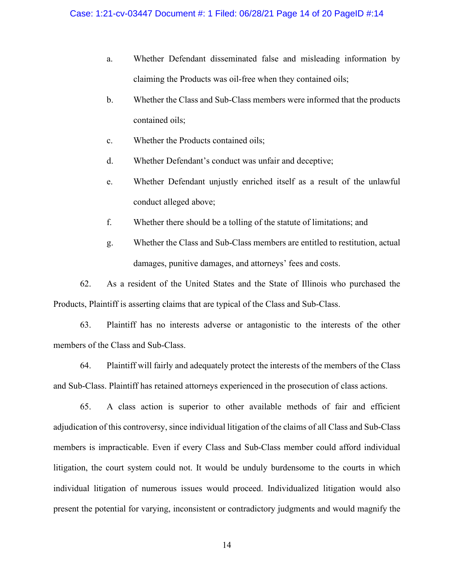- a. Whether Defendant disseminated false and misleading information by claiming the Products was oil-free when they contained oils;
- b. Whether the Class and Sub-Class members were informed that the products contained oils;
- c. Whether the Products contained oils;
- d. Whether Defendant's conduct was unfair and deceptive;
- e. Whether Defendant unjustly enriched itself as a result of the unlawful conduct alleged above;
- f. Whether there should be a tolling of the statute of limitations; and
- g. Whether the Class and Sub-Class members are entitled to restitution, actual damages, punitive damages, and attorneys' fees and costs.

62. As a resident of the United States and the State of Illinois who purchased the Products, Plaintiff is asserting claims that are typical of the Class and Sub-Class.

63. Plaintiff has no interests adverse or antagonistic to the interests of the other members of the Class and Sub-Class.

64. Plaintiff will fairly and adequately protect the interests of the members of the Class and Sub-Class. Plaintiff has retained attorneys experienced in the prosecution of class actions.

65. A class action is superior to other available methods of fair and efficient adjudication of this controversy, since individual litigation of the claims of all Class and Sub-Class members is impracticable. Even if every Class and Sub-Class member could afford individual litigation, the court system could not. It would be unduly burdensome to the courts in which individual litigation of numerous issues would proceed. Individualized litigation would also present the potential for varying, inconsistent or contradictory judgments and would magnify the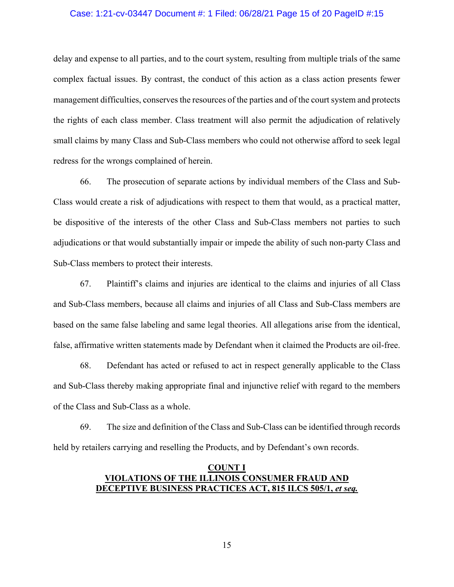#### Case: 1:21-cv-03447 Document #: 1 Filed: 06/28/21 Page 15 of 20 PageID #:15

delay and expense to all parties, and to the court system, resulting from multiple trials of the same complex factual issues. By contrast, the conduct of this action as a class action presents fewer management difficulties, conserves the resources of the parties and of the court system and protects the rights of each class member. Class treatment will also permit the adjudication of relatively small claims by many Class and Sub-Class members who could not otherwise afford to seek legal redress for the wrongs complained of herein.

66. The prosecution of separate actions by individual members of the Class and Sub-Class would create a risk of adjudications with respect to them that would, as a practical matter, be dispositive of the interests of the other Class and Sub-Class members not parties to such adjudications or that would substantially impair or impede the ability of such non-party Class and Sub-Class members to protect their interests.

67. Plaintiff's claims and injuries are identical to the claims and injuries of all Class and Sub-Class members, because all claims and injuries of all Class and Sub-Class members are based on the same false labeling and same legal theories. All allegations arise from the identical, false, affirmative written statements made by Defendant when it claimed the Products are oil-free.

68. Defendant has acted or refused to act in respect generally applicable to the Class and Sub-Class thereby making appropriate final and injunctive relief with regard to the members of the Class and Sub-Class as a whole.

69. The size and definition of the Class and Sub-Class can be identified through records held by retailers carrying and reselling the Products, and by Defendant's own records.

# **COUNT I VIOLATIONS OF THE ILLINOIS CONSUMER FRAUD AND DECEPTIVE BUSINESS PRACTICES ACT, 815 ILCS 505/1,** *et seq.*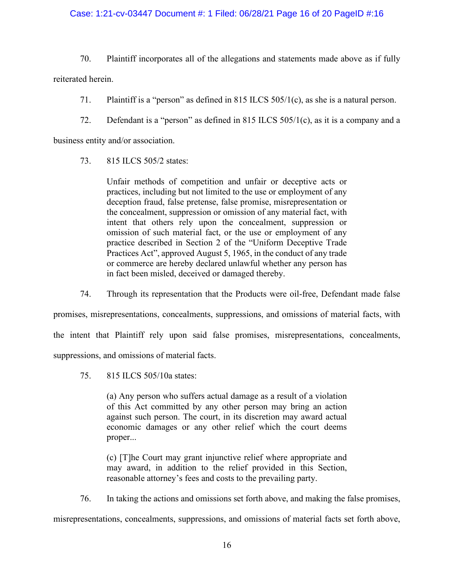# Case: 1:21-cv-03447 Document #: 1 Filed: 06/28/21 Page 16 of 20 PageID #:16

70. Plaintiff incorporates all of the allegations and statements made above as if fully reiterated herein.

- 71. Plaintiff is a "person" as defined in 815 ILCS 505/1(c), as she is a natural person.
- 72. Defendant is a "person" as defined in 815 ILCS 505/1(c), as it is a company and a

business entity and/or association.

73. 815 ILCS 505/2 states:

Unfair methods of competition and unfair or deceptive acts or practices, including but not limited to the use or employment of any deception fraud, false pretense, false promise, misrepresentation or the concealment, suppression or omission of any material fact, with intent that others rely upon the concealment, suppression or omission of such material fact, or the use or employment of any practice described in Section 2 of the "Uniform Deceptive Trade Practices Act", approved August 5, 1965, in the conduct of any trade or commerce are hereby declared unlawful whether any person has in fact been misled, deceived or damaged thereby.

74. Through its representation that the Products were oil-free, Defendant made false

promises, misrepresentations, concealments, suppressions, and omissions of material facts, with the intent that Plaintiff rely upon said false promises, misrepresentations, concealments, suppressions, and omissions of material facts.

75. 815 ILCS 505/10a states:

(a) Any person who suffers actual damage as a result of a violation of this Act committed by any other person may bring an action against such person. The court, in its discretion may award actual economic damages or any other relief which the court deems proper...

(c) [T]he Court may grant injunctive relief where appropriate and may award, in addition to the relief provided in this Section, reasonable attorney's fees and costs to the prevailing party.

76. In taking the actions and omissions set forth above, and making the false promises,

misrepresentations, concealments, suppressions, and omissions of material facts set forth above,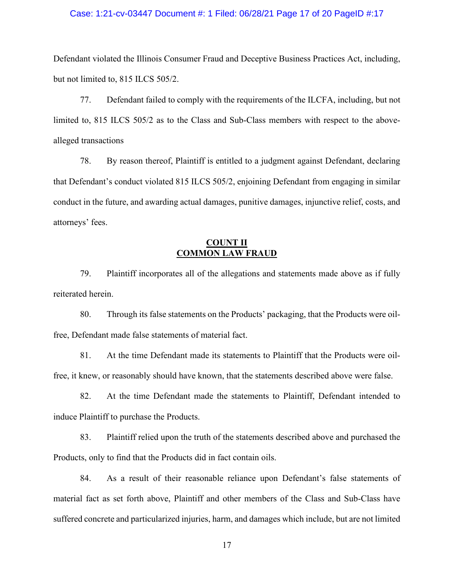#### Case: 1:21-cv-03447 Document #: 1 Filed: 06/28/21 Page 17 of 20 PageID #:17

Defendant violated the Illinois Consumer Fraud and Deceptive Business Practices Act, including, but not limited to, 815 ILCS 505/2.

77. Defendant failed to comply with the requirements of the ILCFA, including, but not limited to, 815 ILCS 505/2 as to the Class and Sub-Class members with respect to the abovealleged transactions

78. By reason thereof, Plaintiff is entitled to a judgment against Defendant, declaring that Defendant's conduct violated 815 ILCS 505/2, enjoining Defendant from engaging in similar conduct in the future, and awarding actual damages, punitive damages, injunctive relief, costs, and attorneys' fees.

# **COUNT II COMMON LAW FRAUD**

79. Plaintiff incorporates all of the allegations and statements made above as if fully reiterated herein.

80. Through its false statements on the Products' packaging, that the Products were oilfree, Defendant made false statements of material fact.

81. At the time Defendant made its statements to Plaintiff that the Products were oilfree, it knew, or reasonably should have known, that the statements described above were false.

82. At the time Defendant made the statements to Plaintiff, Defendant intended to induce Plaintiff to purchase the Products.

83. Plaintiff relied upon the truth of the statements described above and purchased the Products, only to find that the Products did in fact contain oils.

84. As a result of their reasonable reliance upon Defendant's false statements of material fact as set forth above, Plaintiff and other members of the Class and Sub-Class have suffered concrete and particularized injuries, harm, and damages which include, but are not limited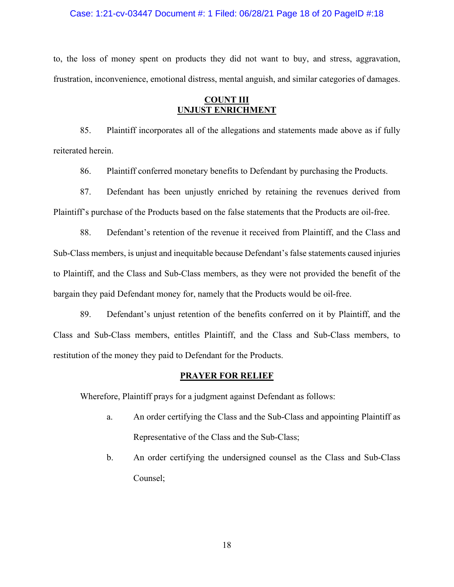#### Case: 1:21-cv-03447 Document #: 1 Filed: 06/28/21 Page 18 of 20 PageID #:18

to, the loss of money spent on products they did not want to buy, and stress, aggravation, frustration, inconvenience, emotional distress, mental anguish, and similar categories of damages.

# **COUNT III UNJUST ENRICHMENT**

85. Plaintiff incorporates all of the allegations and statements made above as if fully reiterated herein.

86. Plaintiff conferred monetary benefits to Defendant by purchasing the Products.

87. Defendant has been unjustly enriched by retaining the revenues derived from Plaintiff's purchase of the Products based on the false statements that the Products are oil-free.

88. Defendant's retention of the revenue it received from Plaintiff, and the Class and Sub-Class members, is unjust and inequitable because Defendant's false statements caused injuries to Plaintiff, and the Class and Sub-Class members, as they were not provided the benefit of the bargain they paid Defendant money for, namely that the Products would be oil-free.

89. Defendant's unjust retention of the benefits conferred on it by Plaintiff, and the Class and Sub-Class members, entitles Plaintiff, and the Class and Sub-Class members, to restitution of the money they paid to Defendant for the Products.

# **PRAYER FOR RELIEF**

Wherefore, Plaintiff prays for a judgment against Defendant as follows:

- a. An order certifying the Class and the Sub-Class and appointing Plaintiff as Representative of the Class and the Sub-Class;
- b. An order certifying the undersigned counsel as the Class and Sub-Class Counsel;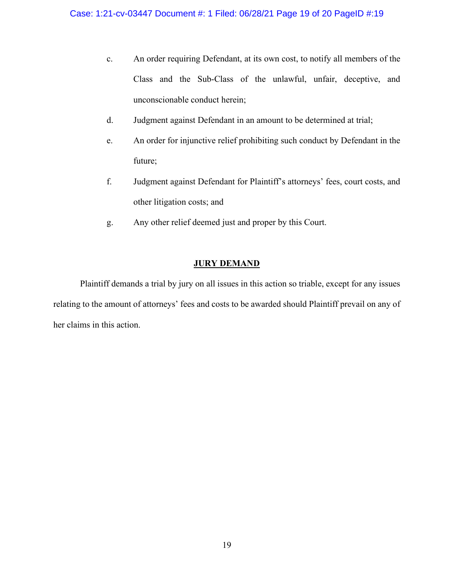- c. An order requiring Defendant, at its own cost, to notify all members of the Class and the Sub-Class of the unlawful, unfair, deceptive, and unconscionable conduct herein;
- d. Judgment against Defendant in an amount to be determined at trial;
- e. An order for injunctive relief prohibiting such conduct by Defendant in the future;
- f. Judgment against Defendant for Plaintiff's attorneys' fees, court costs, and other litigation costs; and
- g. Any other relief deemed just and proper by this Court.

# **JURY DEMAND**

Plaintiff demands a trial by jury on all issues in this action so triable, except for any issues relating to the amount of attorneys' fees and costs to be awarded should Plaintiff prevail on any of her claims in this action.